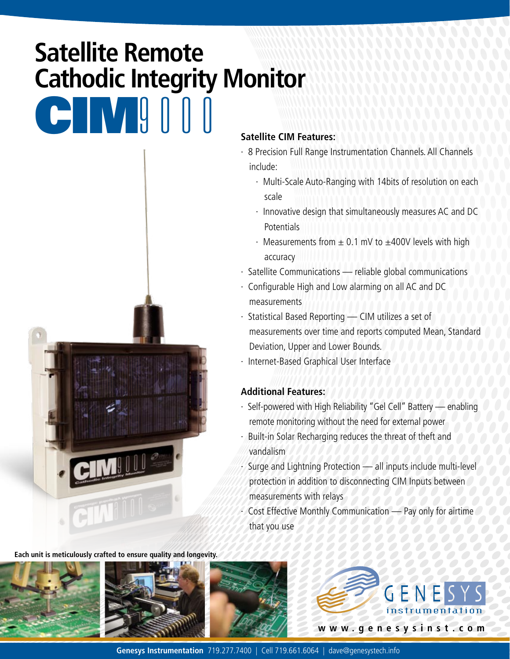# **Satellite Remote Cathodic Integrity Monitor**



**Each unit is meticulously crafted to ensure quality and longevity.**



#### **Satellite CIM Features:**

- · 8 Precision Full Range Instrumentation Channels. All Channels include:
	- · Multi-Scale Auto-Ranging with 14bits of resolution on each scale
	- · Innovative design that simultaneously measures AC and DC Potentials
	- Measurements from  $\pm$  0.1 mV to  $\pm$ 400V levels with high accuracy
- · Satellite Communications reliable global communications
- · Configurable High and Low alarming on all AC and DC measurements
- · Statistical Based Reporting CIM utilizes a set of measurements over time and reports computed Mean, Standard Deviation, Upper and Lower Bounds.
- · Internet-Based Graphical User Interface

### **Additional Features:**

- · Self-powered with High Reliability "Gel Cell" Battery enabling remote monitoring without the need for external power
- Built-in Solar Recharging reduces the threat of theft and vandalism
- · Surge and Lightning Protection all inputs include multi-level protection in addition to disconnecting CIM Inputs between measurements with relays
- $\cdot$  Cost Effective Monthly Communication Pay only for airtime that you use